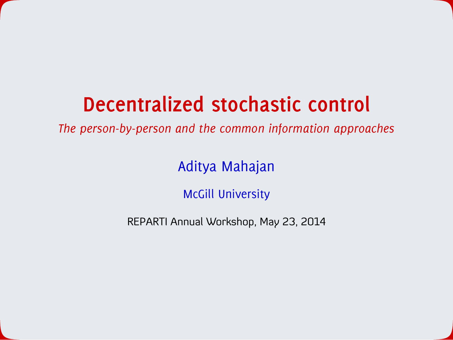## **Decentralized stochastic control**

*The person-by-person and the common information approaches*

Aditya Mahajan

McGill University

REPARTI Annual Workshop, May 23, 2014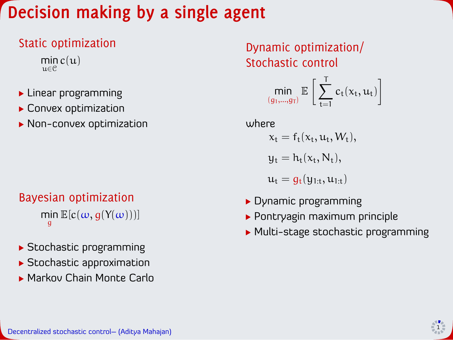## **Decision making by a single agent**

#### Static optimization

 $min_{u \in \mathcal{C}} c(u)$ 

- **Linear programming**
- **Convex optimization**
- ▶ Non-convex optimization

#### Bayesian optimization

min  $\mathbb{E}[c(\omega,g(Y(\omega)))]$ 

- **Stochastic programming**
- ▶ Stochastic approximation
- Markov Chain Monte Carlo

Dynamic optimization/ Stochastic control

$$
\underset{(g_1,\ldots,g_T)}{\text{min}}\ \mathbb{E}\left[\ \underset{t=1}{\overset{T}{\sum}}\ c_t(x_t,u_t)\right]
$$

where

$$
x_t = f_t(x_t, u_t, W_t),
$$

$$
y_t = h_t(x_t, N_t),
$$

$$
\boldsymbol{u}_t = g_t(y_{1:t}, \boldsymbol{u}_{1:t})
$$

- Dynamic programming
- Pontryagin maximum principle
- Multi-stage stochastic programming

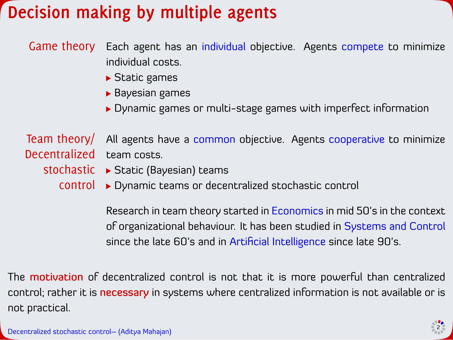#### **Decision making by multiple agents**

#### Game theory Each agent has an individual objective. Agents compete to minimize individual costs.

- ▶ Static games
- Bayesian games
- Dynamic games or multi-stage games with imperfect information

Team theory/ Decentralized All agents have a common objective. Agents cooperative to minimize team costs.

- stochastic > Static (Bayesian) teams
	- control Dynamic teams or decentralized stochastic control

Research in team theory started in Economics in mid 50's in the context of organizational behaviour. It has been studied in Systems and Control since the late 60's and in Artificial Intelligence since late 90's.

The **motivation** of decentralized control is not that it is more powerful than centralized control; rather it is necessary in systems where centralized information is not available or is not practical.

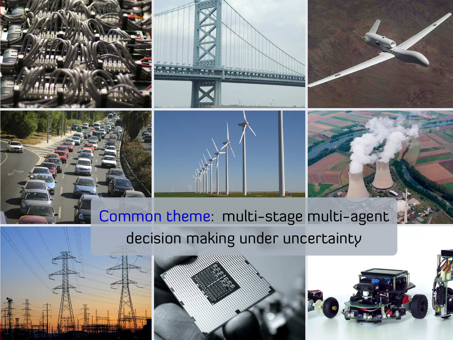

# Common theme: multi-stage multi-agent

#### decision making under uncertainty



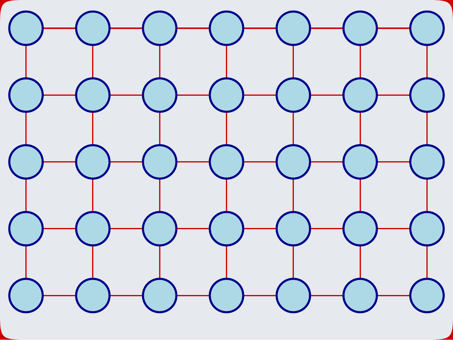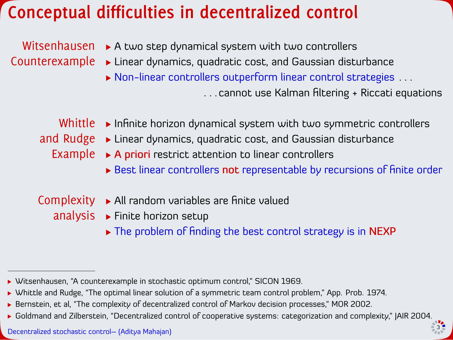#### **Conceptual difficulties in decentralized control**

Witsenhausen > A two step dynamical system with two controllers Counterexample Linear dynamics, quadratic cost, and Gaussian disturbance

> Non-linear controllers outperform linear control strategies . . . ... cannot use Kalman filtering + Riccati equations

| Whittle $\rightarrow$ Infinite horizon dynamical system with two symmetric controllers |
|----------------------------------------------------------------------------------------|
| and Rudge $\rightarrow$ Linear dynamics, quadratic cost, and Gaussian disturbance      |
| Example $\rightarrow$ A priori restrict attention to linear controllers                |
| Best linear controllers not representable by recursions of finite order                |
|                                                                                        |

- Complexity ▶ All random variables are finite valued
	- analysis > Finite horizon setup
		- The problem of finding the best control strategy is in NEXP

<sup>▶</sup> Witsenhausen, "A counterexample in stochastic optimum control," SICON 1969.

 $\triangleright$  Whittle and Rudge, "The optimal linear solution of a symmetric team control problem," App. Prob. 1974.

Bernstein, et al, "The complexity of decentralized control of Markov decision processes," MOR 2002.

Goldmand and Zilberstein, "Decentralized control of cooperative systems: categorization and complexity," JAIR 2004.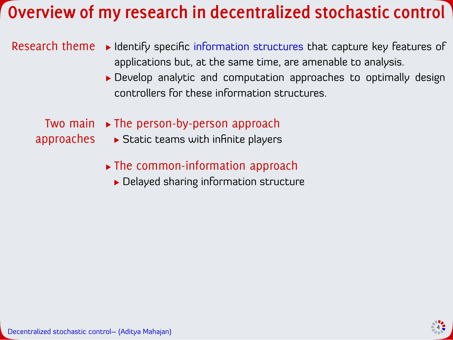## **Overview of my research in decentralized stochastic control**

#### Research theme  $\rightarrow$  Identify specific information structures that capture key features of applications but, at the same time, are amenable to analysis.

- Develop analytic and computation approaches to optimally design controllers for these information structures.
- Two main ► The person-by-person approach approaches  $\triangleright$  Static teams with infinite players
	- The common-information approach
		- **Delayed sharing information structure**

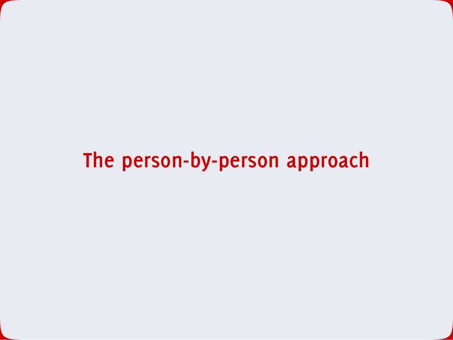## **The person-by-person approach**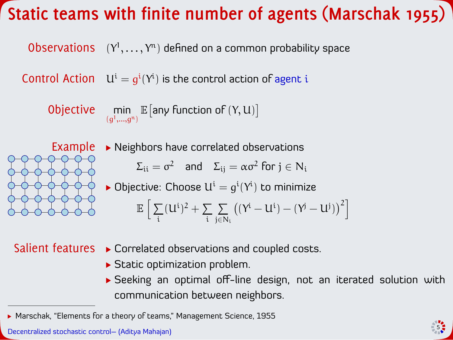## **Static teams with finite number of agents (Marschak 1955)**

Observations  $(Y^1, \ldots, Y^n)$  defined on a common probability space

Control Action  $U^i = g^i(Y^i)$  is the control action of agent i

Objective  $\min_{(q^1,...,q^n)} \mathbb{E} [\text{any function of } (Y, U)]$ 



Neighbors have correlated observations

\n
$$
\Sigma_{ii} = \sigma^2 \quad \text{and} \quad \Sigma_{ij} = \alpha \sigma^2 \text{ for } j \in N_i
$$
\nObjective: Choose U<sup>i</sup> = g<sup>i</sup>(Y<sup>i</sup>) to minimize

\n
$$
\mathbb{E} \left[ \sum_{i} (1)^i \right]_{ii} \sum_{j} \sum_{j} (1)^j \left( \sum_{j} (1)^j \right)_{ij} \left( \sum_{j} (1)^j \right)_{ij} \left( \sum_{j} (1)^j \right)_{ij}
$$

$$
\mathbb{E}\,\Big[\sum_i (U^i)^2 + \sum_i \sum_{j \in N_i} \big((Y^i - U^i) - (Y^j - U^j)\big)^2\Big]
$$

- Salient features  $\triangleright$  Correlated observations and coupled costs.
	- Static optimization problem.
	- Seeking an optimal oĞ-line design, not an iterated solution with communication between neighbors.



Marschak, "Elements for a theory of teams," Management Science, 1955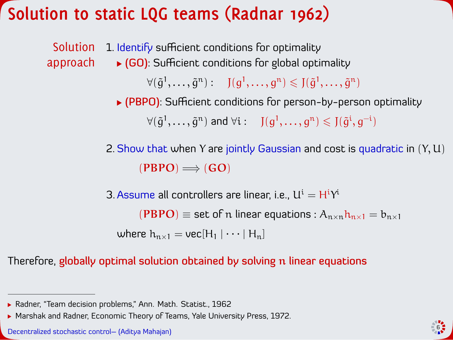## **Solution to static LQG teams (Radnar 1962)**

Solution approach 1. Identify sufficient conditions for optimality ▶ (GO): Sufficient conditions for global optimality

 $\forall (\tilde{q}^1, \ldots, \tilde{q}^n) : \quad J(q^1, \ldots, q^n) \leqslant J(\tilde{q}^1, \ldots, \tilde{q}^n)$ 

- (PBPO): Sufficient conditions for person-by-person optimality  $\forall (\tilde{g}^1,\ldots,\tilde{g}^n)$  and  $\forall \frak{i}: \quad \mathbb{J}(g^1,\ldots,g^n) \leqslant \mathbb{J}(\tilde{g}^{\frak{i}},g^{-\frak{i}})$
- 2. Show that when Y are jointly Gaussian and cost is quadratic in (Y, U)  $(PBPO) \Longrightarrow (GO)$

3. Assume all controllers are linear, i.e.,  $\mathsf{U}^\mathfrak{i} = \mathsf{H}^\mathfrak{i} \mathsf{Y}^\mathfrak{i}$  $(PBPO) \equiv$  set of n linear equations :  $A_{n \times n} h_{n \times 1} = b_{n \times 1}$ where  $h_{n\times1} = \text{vec}[H_1 | \cdots | H_n]$ 

#### Therefore, globally optimal solution obtained by solving n linear equations



Radner, "Team decision problems," Ann. Math. Statist., 1962

Marshak and Radner, Economic Theory of Teams, Yale University Press, 1972.

Decentralized stochastic control– (Aditya Mahajan) <sup>6</sup>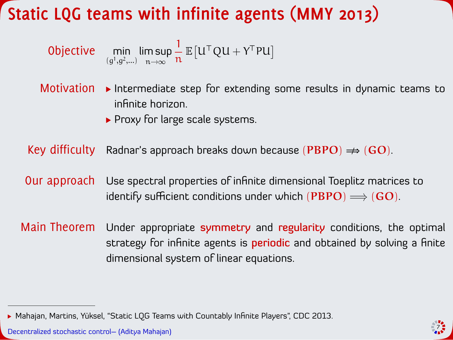**Static LQG teams with infinite agents (MMY 2013)**

Objective min lim sup n→∞ −  $\frac{1}{n} \mathbb{E} [U^{\top} QU + Y^{\top} PU]$ 

- Motivation  $\rightarrow$  Intermediate step for extending some results in dynamic teams to infinite horizon.
	- Proxy for large scale systems.

Key difficulty Radnar's approach breaks down because ( $\mathsf{PBPO} \Rightarrow (\mathsf{GO})$ ).

- Our approach Use spectral properties of inğnite dimensional Toeplitz matrices to identify sufficient conditions under which  $(PBPO) \Longrightarrow (GO)$ .
- Main Theorem Under appropriate symmetry and regularity conditions, the optimal strategy for infinite agents is **periodic** and obtained by solving a finite dimensional system of linear equations.

Decentralized stochastic control– (Aditya Mahajan) <sup>7</sup> Mahajan, Martins, Yüksel, "Static LQG Teams with Countably Infinite Players", CDC 2013.

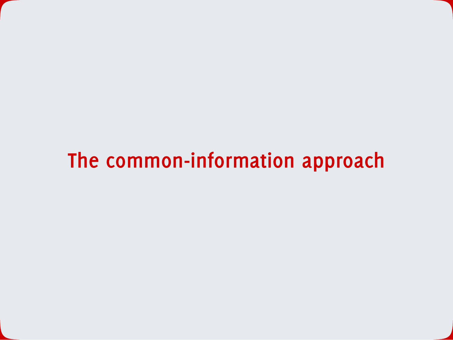## **The common-information approach**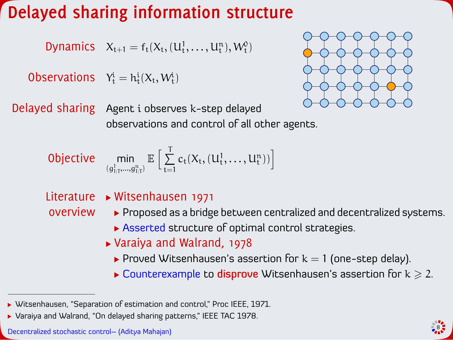## **Delayed sharing information structure**

Dynamics  $X_{t+1} = f_t(X_t, (U_t^1, ..., U_t^n), W_t^0)$ 

Observations  $Y_t^i = h_t^i(X_t, W_t^i)$ 



Delayed sharing Agent i observes k-step delayed observations and control of all other agents.

> $\textsf{Objective}\:\:\:\:\min_{(g_{1:\textsf{D}}^1\ldots, g_{1:\textsf{T}}^n)}\mathbb{E}\:\:\Big\lfloor$ T  $\sum$  $t=1$  $c_t(X_t, (U_t^1, \ldots, U_t^n))]$

overview

#### Literature Witsenhausen 1971

**Proposed as a bridge between centralized and decentralized systems.** 

- Asserted structure of optimal control strategies.
- Varaiya and Walrand, 1978
	- Proved Witsenhausen's assertion for  $k = 1$  (one-step delay).
	- **Counterexample to disprove** Witsenhausen's assertion for  $k \ge 2$ .



<sup>▶</sup> Witsenhausen, "Separation of estimation and control," Proc IEEE, 1971.

<sup>▶</sup> Varaiya and Walrand, "On delayed sharing patterns," IEEE TAC 1978.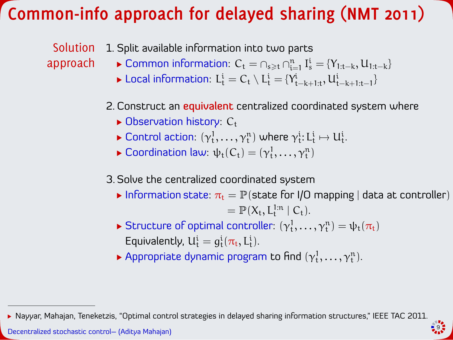## **Common-info approach for delayed sharing (NMT 2011)**

**Solution** 1. Split available information into two parts

- approach
- Common information:  $C_t = \cap_{s \geqslant t} \cap_{i=1}^n I_s^i = \{Y_{1:t-k}, U_{1:t-k}\}$
- Local information:  $L_t^i = C_t \setminus L_t^i = \{Y_{t-k+1:t}^i, U_{t-k+1:t-1}^i\}$
- 2. Construct an equivalent centralized coordinated system where
	- $\triangleright$  Observation history:  $C_t$
	- Control action:  $(\gamma^1_t, \ldots, \gamma^n_t)$  where  $\gamma^i_t: L^i_t \mapsto U^i_t$ .
	- Coordination law:  $\psi_t(C_t) = (\gamma_t^1, \ldots, \gamma_t^n)$
- 3. Solve the centralized coordinated system
	- Information state:  $\pi_t = \mathbb{P}(\text{state for I/O mapping } | \text{ data at controller})$  $= \mathbb{P}(X_t, L_t^{1:n} | C_t).$
	- Structure of optimal controller:  $(\gamma^1_t, \dots, \gamma^n_t) = \psi_t(\pi_t)$ Equivalently,  $U_t^i = g_t^i(\pi_t, L_t^i)$ .
	- Appropriate dynamic program to find  $(\gamma^1_t, \ldots, \gamma^n_t)$ .

Decentralized stochastic control– (Aditya Mahajan) <sup>9</sup> Nayyar, Mahajan, Teneketzis, "Optimal control strategies in delayed sharing information structures," IEEE TAC 2011.

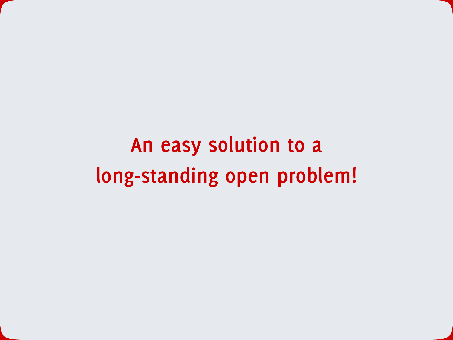**An easy solution to a long-standing open problem!**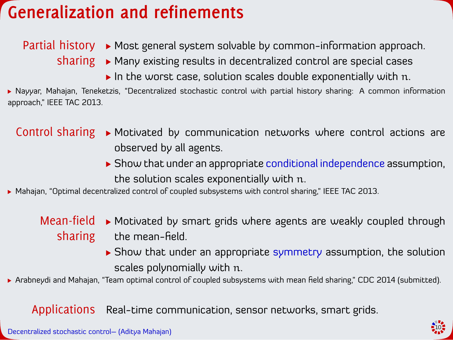## **Generalization and refinements**

#### Partial history > Most general system solvable by common-information approach. sharing  $\rightarrow$  Many existing results in decentralized control are special cases

In the worst case, solution scales double exponentially with  $n$ .

▶ Nayyar, Mahajan, Teneketzis, "Decentralized stochastic control with partial history sharing: A common information approach," IEEE TAC 2013.

- Control sharing  $\rightarrow$  Motivated by communication networks where control actions are observed by all agents.
	- $\triangleright$  Show that under an appropriate conditional independence assumption, the solution scales exponentially with n.
- $\triangleright$  Mahajan, "Optimal decentralized control of coupled subsystems with control sharing," IEEE TAC 2013.
	- Mean-field  $\rightarrow$  Motivated by smart grids where agents are weakly coupled through sharing the mean-field.
		- Show that under an appropriate symmetry assumption, the solution scales polynomially with n.

Arabneydi and Mahajan, "Team optimal control of coupled subsystems with mean field sharing," CDC 2014 (submitted).

Applications Real-time communication, sensor networks, smart grids.



Decentralized stochastic control– (Aditya Mahajan) <sup>10</sup>